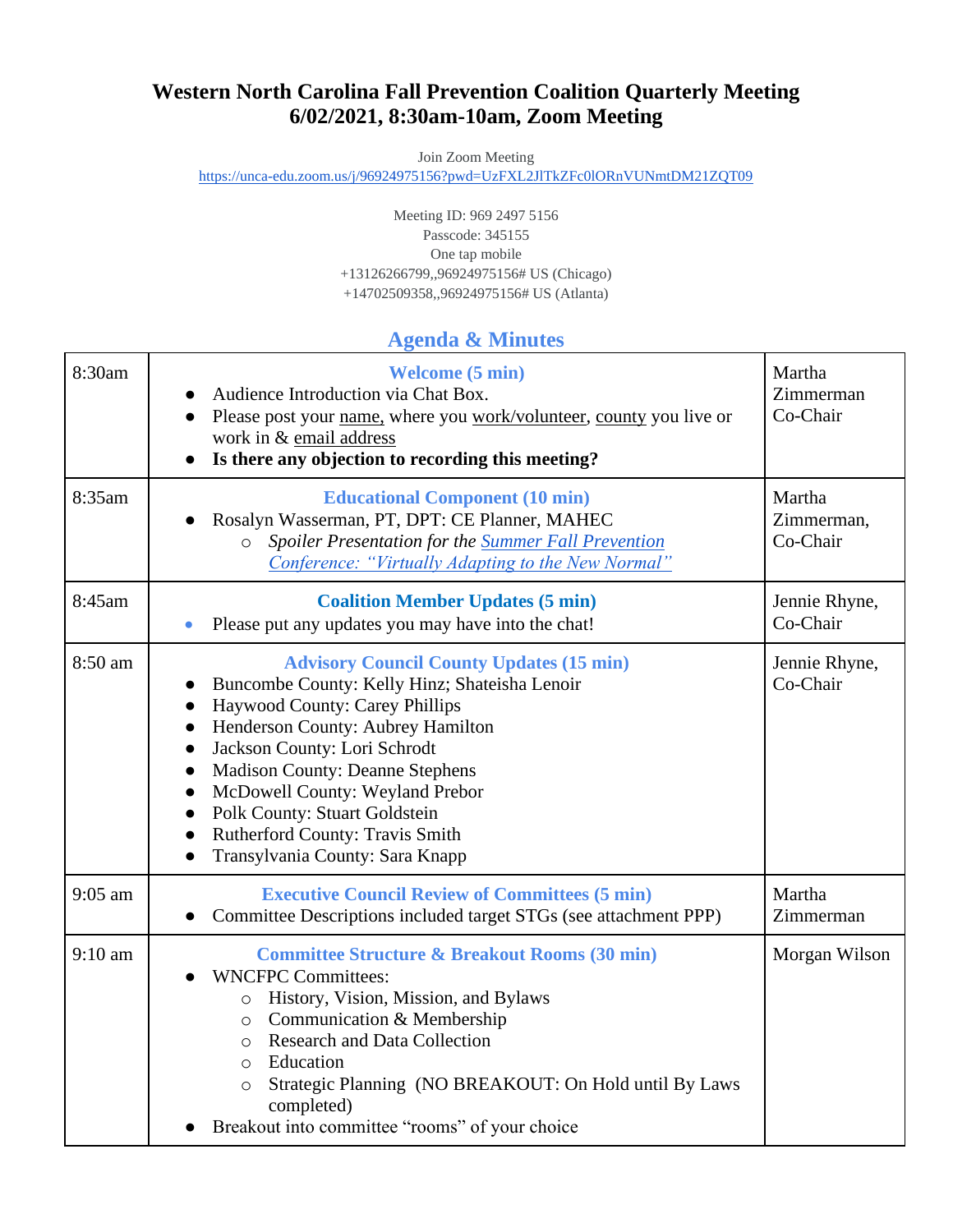# **Western North Carolina Fall Prevention Coalition Quarterly Meeting 6/02/2021, 8:30am-10am, Zoom Meeting**

Join Zoom Meeting

<https://unca-edu.zoom.us/j/96924975156?pwd=UzFXL2JlTkZFc0lORnVUNmtDM21ZQT09>

Meeting ID: 969 2497 5156 Passcode: 345155 One tap mobile +13126266799,,96924975156# US (Chicago) +14702509358,,96924975156# US (Atlanta)

#### **Agenda & Minutes**

| 8:30am            | <b>Welcome</b> (5 min)<br>Audience Introduction via Chat Box.<br>Please post your name, where you work/volunteer, county you live or<br>$\bullet$<br>work in & email address<br>Is there any objection to recording this meeting?                                                                                                                                                                                                                                                                    | Martha<br>Zimmerman<br>Co-Chair  |
|-------------------|------------------------------------------------------------------------------------------------------------------------------------------------------------------------------------------------------------------------------------------------------------------------------------------------------------------------------------------------------------------------------------------------------------------------------------------------------------------------------------------------------|----------------------------------|
| 8:35am            | <b>Educational Component (10 min)</b><br>Rosalyn Wasserman, PT, DPT: CE Planner, MAHEC<br>Spoiler Presentation for the Summer Fall Prevention<br>$\circ$<br>Conference: "Virtually Adapting to the New Normal"                                                                                                                                                                                                                                                                                       | Martha<br>Zimmerman,<br>Co-Chair |
| 8:45am            | <b>Coalition Member Updates (5 min)</b><br>Please put any updates you may have into the chat!                                                                                                                                                                                                                                                                                                                                                                                                        | Jennie Rhyne,<br>Co-Chair        |
| 8:50 am           | <b>Advisory Council County Updates (15 min)</b><br>Buncombe County: Kelly Hinz; Shateisha Lenoir<br>Haywood County: Carey Phillips<br>$\bullet$<br>Henderson County: Aubrey Hamilton<br>Jackson County: Lori Schrodt<br>$\bullet$<br><b>Madison County: Deanne Stephens</b><br>$\bullet$<br>McDowell County: Weyland Prebor<br>$\bullet$<br><b>Polk County: Stuart Goldstein</b><br>$\bullet$<br><b>Rutherford County: Travis Smith</b><br>$\bullet$<br>Transylvania County: Sara Knapp<br>$\bullet$ | Jennie Rhyne,<br>Co-Chair        |
| $9:05$ am         | <b>Executive Council Review of Committees (5 min)</b><br>Committee Descriptions included target STGs (see attachment PPP)                                                                                                                                                                                                                                                                                                                                                                            | Martha<br>Zimmerman              |
| $9:10 \text{ am}$ | <b>Committee Structure &amp; Breakout Rooms (30 min)</b><br><b>WNCFPC Committees:</b><br>History, Vision, Mission, and Bylaws<br>$\circ$<br>Communication & Membership<br>$\circ$<br><b>Research and Data Collection</b><br>$\circ$<br>Education<br>$\circ$<br>Strategic Planning (NO BREAKOUT: On Hold until By Laws<br>$\circ$<br>completed)<br>Breakout into committee "rooms" of your choice                                                                                                     | Morgan Wilson                    |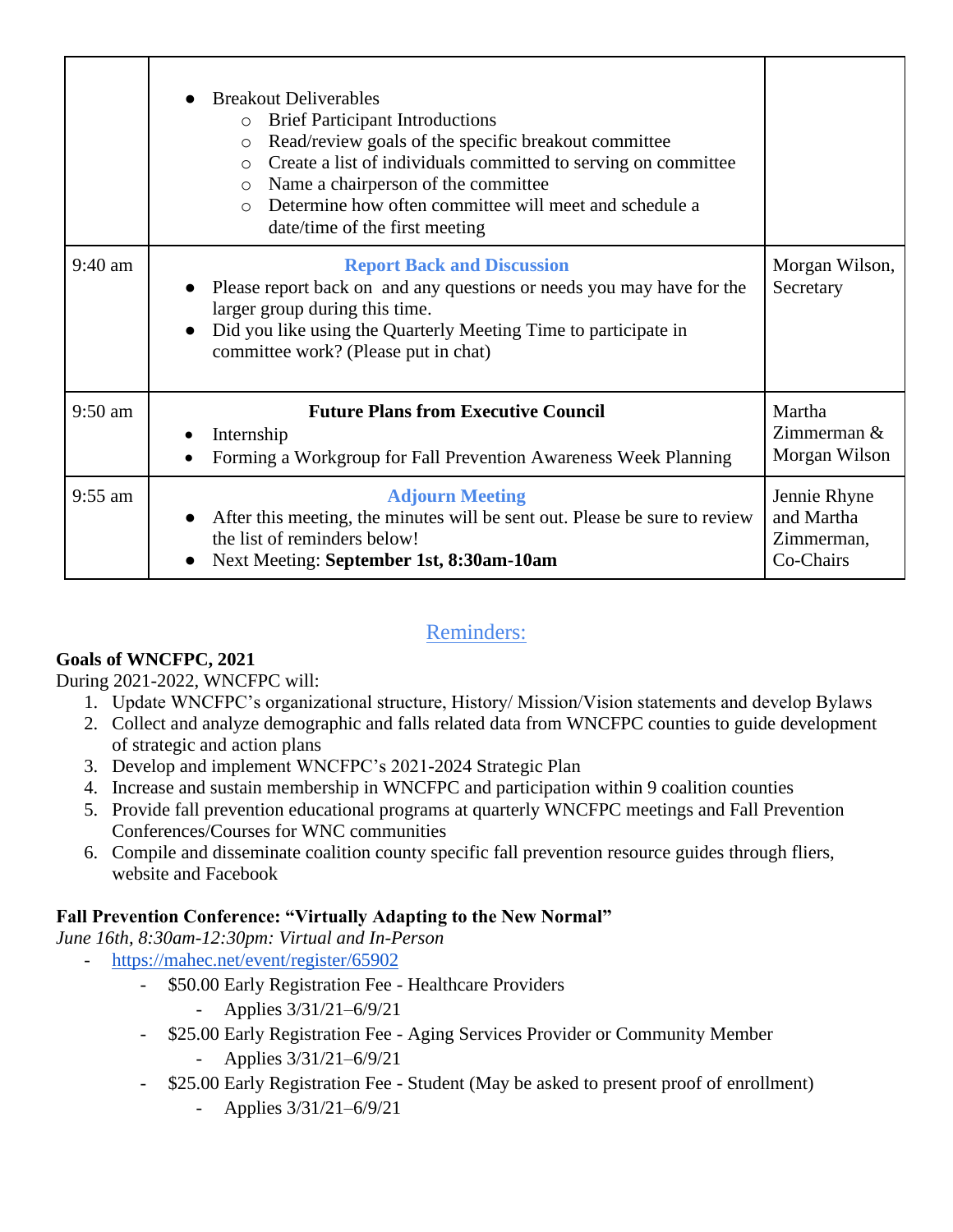|           | <b>Breakout Deliverables</b><br><b>Brief Participant Introductions</b><br>$\circ$<br>Read/review goals of the specific breakout committee<br>$\circ$<br>Create a list of individuals committed to serving on committee<br>$\circ$<br>Name a chairperson of the committee<br>$\circ$<br>Determine how often committee will meet and schedule a<br>$\bigcirc$<br>date/time of the first meeting |                                                       |
|-----------|-----------------------------------------------------------------------------------------------------------------------------------------------------------------------------------------------------------------------------------------------------------------------------------------------------------------------------------------------------------------------------------------------|-------------------------------------------------------|
| $9:40$ am | <b>Report Back and Discussion</b><br>Please report back on and any questions or needs you may have for the<br>larger group during this time.<br>Did you like using the Quarterly Meeting Time to participate in<br>committee work? (Please put in chat)                                                                                                                                       | Morgan Wilson,<br>Secretary                           |
| $9:50$ am | <b>Future Plans from Executive Council</b><br>Internship<br>Forming a Workgroup for Fall Prevention Awareness Week Planning                                                                                                                                                                                                                                                                   | Martha<br>Zimmerman $\&$<br>Morgan Wilson             |
| $9:55$ am | <b>Adjourn Meeting</b><br>After this meeting, the minutes will be sent out. Please be sure to review<br>the list of reminders below!<br>Next Meeting: September 1st, 8:30am-10am                                                                                                                                                                                                              | Jennie Rhyne<br>and Martha<br>Zimmerman,<br>Co-Chairs |

## Reminders:

## **Goals of WNCFPC, 2021**

During 2021-2022, WNCFPC will:

- 1. Update WNCFPC's organizational structure, History/ Mission/Vision statements and develop Bylaws
- 2. Collect and analyze demographic and falls related data from WNCFPC counties to guide development of strategic and action plans
- 3. Develop and implement WNCFPC's 2021-2024 Strategic Plan
- 4. Increase and sustain membership in WNCFPC and participation within 9 coalition counties
- 5. Provide fall prevention educational programs at quarterly WNCFPC meetings and Fall Prevention Conferences/Courses for WNC communities
- 6. Compile and disseminate coalition county specific fall prevention resource guides through fliers, website and Facebook

## **Fall Prevention Conference: "Virtually Adapting to the New Normal"**

*June 16th, 8:30am-12:30pm: Virtual and In-Person*

- <https://mahec.net/event/register/65902>
	- \$50.00 Early Registration Fee Healthcare Providers
		- Applies 3/31/21–6/9/21
	- \$25.00 Early Registration Fee Aging Services Provider or Community Member
		- Applies 3/31/21–6/9/21
	- \$25.00 Early Registration Fee Student (May be asked to present proof of enrollment)
		- Applies 3/31/21–6/9/21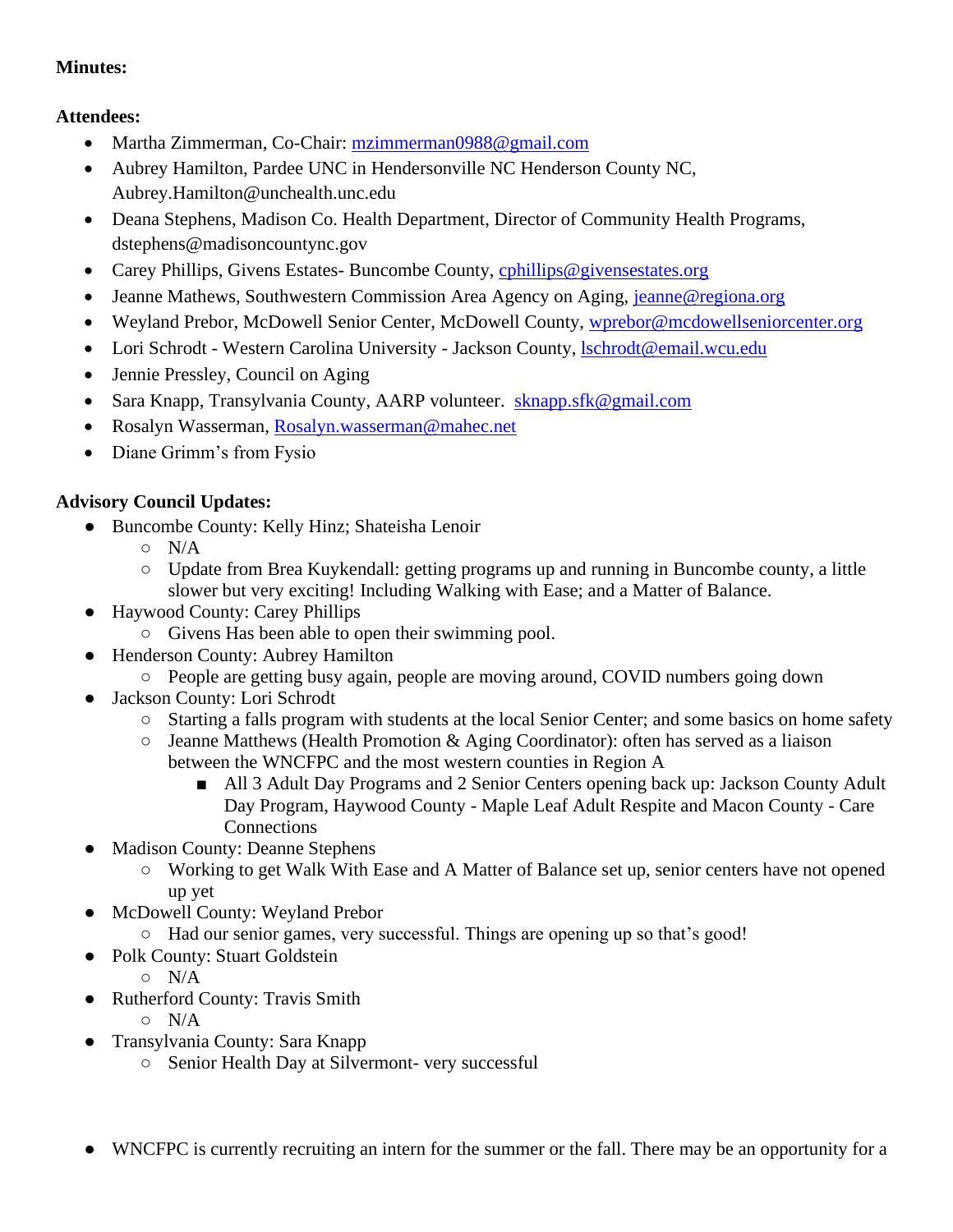#### **Minutes:**

## **Attendees:**

- Martha Zimmerman, Co-Chair: [mzimmerman0988@gmail.com](mailto:mzimmerman0988@gmail.com)
- Aubrey Hamilton, Pardee UNC in Hendersonville NC Henderson County NC, Aubrey.Hamilton@unchealth.unc.edu
- Deana Stephens, Madison Co. Health Department, Director of Community Health Programs, dstephens@madisoncountync.gov
- Carey Phillips, Givens Estates- Buncombe County, [cphillips@givensestates.org](mailto:cphillips@givensestates.org)
- Jeanne Mathews, Southwestern Commission Area Agency on Aging, [jeanne@regiona.org](mailto:jeanne@regiona.org)
- Weyland Prebor, McDowell Senior Center, McDowell County, [wprebor@mcdowellseniorcenter.org](mailto:wprebor@mcdowellseniorcenter.org)
- Lori Schrodt Western Carolina University Jackson County, *Ischrodt@email.wcu.edu*
- Jennie Pressley, Council on Aging
- Sara Knapp, Transylvania County, AARP volunteer. [sknapp.sfk@gmail.com](mailto:sknapp.sfk@gmail.com)
- Rosalyn Wasserman, [Rosalyn.wasserman@mahec.net](mailto:Rosalyn.wasserman@mahec.net)
- Diane Grimm's from Fysio

## **Advisory Council Updates:**

- Buncombe County: Kelly Hinz; Shateisha Lenoir
	- N/A
	- Update from Brea Kuykendall: getting programs up and running in Buncombe county, a little slower but very exciting! Including Walking with Ease; and a Matter of Balance.
- Haywood County: Carey Phillips
	- Givens Has been able to open their swimming pool.
- Henderson County: Aubrey Hamilton
	- People are getting busy again, people are moving around, COVID numbers going down
- Jackson County: Lori Schrodt
	- Starting a falls program with students at the local Senior Center; and some basics on home safety
	- $\circ$  Jeanne Matthews (Health Promotion & Aging Coordinator): often has served as a liaison between the WNCFPC and the most western counties in Region A
		- All 3 Adult Day Programs and 2 Senior Centers opening back up: Jackson County Adult Day Program, Haywood County - Maple Leaf Adult Respite and Macon County - Care **Connections**
- Madison County: Deanne Stephens
	- Working to get Walk With Ease and A Matter of Balance set up, senior centers have not opened up yet
- McDowell County: Weyland Prebor
	- Had our senior games, very successful. Things are opening up so that's good!
- Polk County: Stuart Goldstein
	- N/A
- Rutherford County: Travis Smith
	- N/A
- Transylvania County: Sara Knapp
	- Senior Health Day at Silvermont- very successful
- WNCFPC is currently recruiting an intern for the summer or the fall. There may be an opportunity for a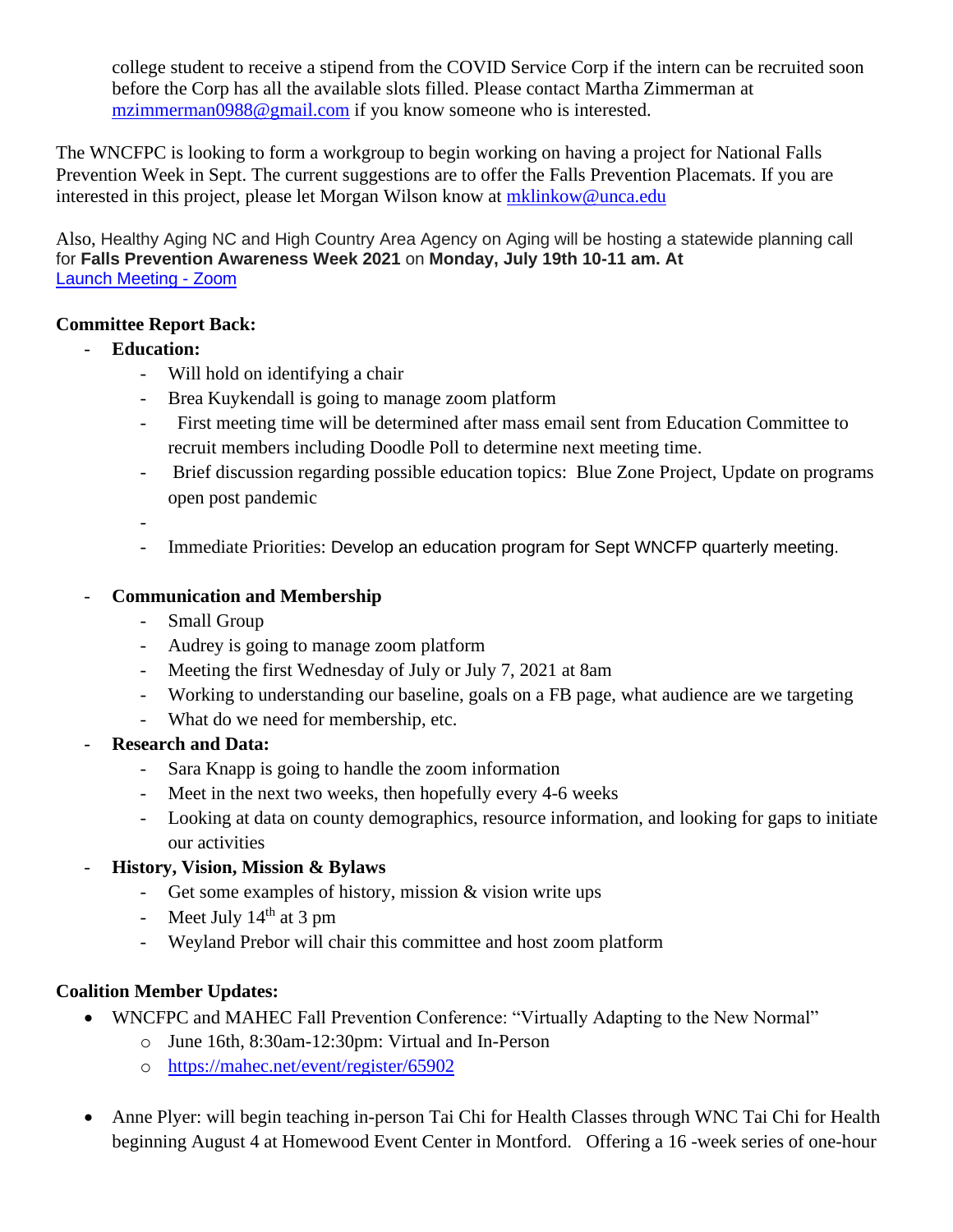college student to receive a stipend from the COVID Service Corp if the intern can be recruited soon before the Corp has all the available slots filled. Please contact Martha Zimmerman at [mzimmerman0988@gmail.com](mailto:mzimmerman0988@gmail.com) if you know someone who is interested.

The WNCFPC is looking to form a workgroup to begin working on having a project for National Falls Prevention Week in Sept. The current suggestions are to offer the Falls Prevention Placemats. If you are interested in this project, please let Morgan Wilson know at [mklinkow@unca.edu](mailto:mklinkow@unca.edu)

Also, Healthy Aging NC and High Country Area Agency on Aging will be hosting a statewide planning call for **Falls Prevention Awareness Week 2021** on **Monday, July 19th 10-11 am. At**  [Launch Meeting -](https://unca-edu.zoom.us/j/99150461780?pwd=eWNMNEZCT1FEaHZuYjhsNEc0akNoQT09#success) Zoom

#### **Committee Report Back:**

- **Education:**
	- Will hold on identifying a chair
	- Brea Kuykendall is going to manage zoom platform
	- First meeting time will be determined after mass email sent from Education Committee to recruit members including Doodle Poll to determine next meeting time.
	- Brief discussion regarding possible education topics: Blue Zone Project, Update on programs open post pandemic

-

- Immediate Priorities: Develop an education program for Sept WNCFP quarterly meeting.

#### - **Communication and Membership**

- Small Group
- Audrey is going to manage zoom platform
- Meeting the first Wednesday of July or July 7, 2021 at 8am
- Working to understanding our baseline, goals on a FB page, what audience are we targeting
- What do we need for membership, etc.
- **Research and Data:**
	- Sara Knapp is going to handle the zoom information
	- Meet in the next two weeks, then hopefully every 4-6 weeks
	- Looking at data on county demographics, resource information, and looking for gaps to initiate our activities
	- **History, Vision, Mission & Bylaws**
		- Get some examples of history, mission & vision write ups
		- Meet July  $14<sup>th</sup>$  at 3 pm
		- Weyland Prebor will chair this committee and host zoom platform

## **Coalition Member Updates:**

- WNCFPC and MAHEC Fall Prevention Conference: "Virtually Adapting to the New Normal"
	- o June 16th, 8:30am-12:30pm: Virtual and In-Person
	- o <https://mahec.net/event/register/65902>
- Anne Plyer: will begin teaching in-person Tai Chi for Health Classes through WNC Tai Chi for Health beginning August 4 at Homewood Event Center in Montford. Offering a 16 -week series of one-hour